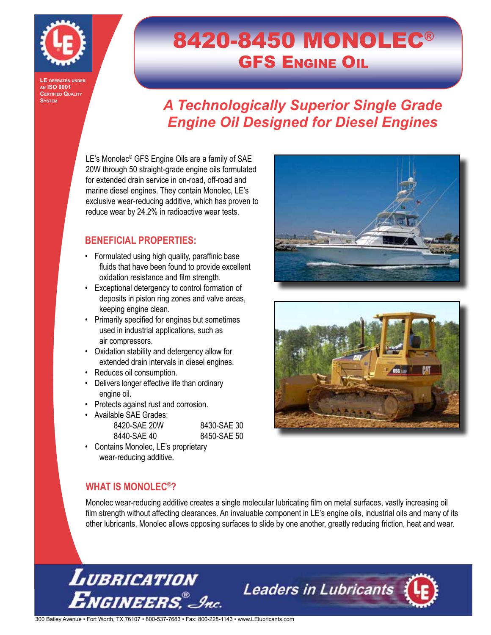

**LE operates under an ISO 9001 CERTIFIED QUALITY System**

# 8420-8450 MONOLEC® **GFS ENGINE OIL**

## *A Technologically Superior Single Grade Engine Oil Designed for Diesel Engines*

LE's Monolec<sup>®</sup> GFS Engine Oils are a family of SAE 20W through 50 straight-grade engine oils formulated for extended drain service in on-road, off-road and marine diesel engines. They contain Monolec, LE's exclusive wear-reducing additive, which has proven to reduce wear by 24.2% in radioactive wear tests.

### **BENEFICIAL PROPERTIES:**

- Formulated using high quality, paraffinic base fluids that have been found to provide excellent oxidation resistance and film strength.
- • Exceptional detergency to control formation of deposits in piston ring zones and valve areas, keeping engine clean.
- • Primarily specified for engines but sometimes used in industrial applications, such as air compressors.
- • Oxidation stability and detergency allow for extended drain intervals in diesel engines.
- Reduces oil consumption.
- Delivers longer effective life than ordinary engine oil.
- Protects against rust and corrosion.

| Available SAE Grades: |             |
|-----------------------|-------------|
| 8420-SAF 20W          | 8430-SAF 30 |

| 8450-SAE 50 | / V | <u>0400-0AL JU</u> |  |
|-------------|-----|--------------------|--|
|             |     |                    |  |

• Contains Monolec, LE's proprietary wear-reducing additive.

8440-SAE 40





### **WHAT IS MONOLEC®?**

Monolec wear-reducing additive creates a single molecular lubricating film on metal surfaces, vastly increasing oil film strength without affecting clearances. An invaluable component in LE's engine oils, industrial oils and many of its other lubricants, Monolec allows opposing surfaces to slide by one another, greatly reducing friction, heat and wear.